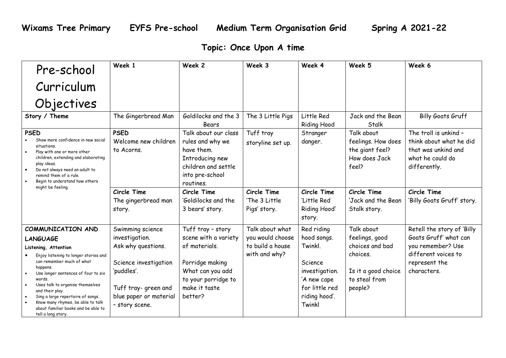## **Topic: Once Upon A time**

| Pre-school                                                                                                                                                                                                                                                                                                                                            | Week 1                                                                                                                        | Week 2                                                                                                                           | Week 3                                       | Week 4                                                                                           | Week 5                                                                         | Week 6                                                                                                      |
|-------------------------------------------------------------------------------------------------------------------------------------------------------------------------------------------------------------------------------------------------------------------------------------------------------------------------------------------------------|-------------------------------------------------------------------------------------------------------------------------------|----------------------------------------------------------------------------------------------------------------------------------|----------------------------------------------|--------------------------------------------------------------------------------------------------|--------------------------------------------------------------------------------|-------------------------------------------------------------------------------------------------------------|
| Curriculum                                                                                                                                                                                                                                                                                                                                            |                                                                                                                               |                                                                                                                                  |                                              |                                                                                                  |                                                                                |                                                                                                             |
| Objectives                                                                                                                                                                                                                                                                                                                                            |                                                                                                                               |                                                                                                                                  |                                              |                                                                                                  |                                                                                |                                                                                                             |
| Story / Theme                                                                                                                                                                                                                                                                                                                                         | The Gingerbread Man                                                                                                           | Goldilocks and the 3<br>Bears                                                                                                    | The 3 Little Pigs                            | Little Red<br><b>Riding Hood</b>                                                                 | Jack and the Bean<br>Stalk                                                     | <b>Billy Goats Gruff</b>                                                                                    |
| <b>PSED</b><br>Show more confidence in new social<br>situations.<br>Play with one or more other<br>children, extending and elaborating<br>play ideas.<br>Do not always need an adult to<br>remind them of a rule.<br>Begin to understand how others<br>might be feeling.                                                                              | <b>PSED</b><br>Welcome new children<br>to Acorns.                                                                             | Talk about our class<br>rules and why we<br>have them.<br>Introducing new<br>children and settle<br>into pre-school<br>routines. | Tuff tray<br>storyline set up.               | Stranger<br>danger.                                                                              | Talk about<br>feelings. How does<br>the giant feel?<br>How does Jack<br>feel?  | The troll is unkind -<br>think about what he did<br>that was unkind and<br>what he could do<br>differently. |
|                                                                                                                                                                                                                                                                                                                                                       | Circle Time<br>The gingerbread man<br>story.                                                                                  | Circle Time<br>'Goldilocks and the<br>3 bears' story.                                                                            | Circle Time<br>'The 3 Little<br>Pigs' story. | Circle Time<br>'Little Red<br>Riding Hood'<br>story.                                             | Circle Time<br>'Jack and the Bean<br>Stalk story.                              | Circle Time<br>'Billy Goats Gruff' story.                                                                   |
| COMMUNICATION AND                                                                                                                                                                                                                                                                                                                                     | Swimming science                                                                                                              | Tuff tray - story                                                                                                                | Talk about what                              | Red riding                                                                                       | Talk about                                                                     | Retell the story of 'Billy                                                                                  |
| <b>LANGUAGE</b>                                                                                                                                                                                                                                                                                                                                       | investigation.                                                                                                                | scene with a variety                                                                                                             | you would choose                             | hood songs.                                                                                      | feelings, good                                                                 | Goats Gruff' what can                                                                                       |
| Listening, Attention<br>Enjoy listening to longer stories and<br>can remember much of what<br>happens.<br>Use longer sentences of four to six<br>words.<br>Uses talk to organise themselves<br>and their play.<br>Sing a large repertoire of songs.<br>Know many rhymes, be able to talk<br>about familiar books and be able to<br>tell a long story. | Ask why questions.<br>Science investigation<br>'puddles'.<br>Tuff tray- green and<br>blue paper or material<br>- story scene. | of materials.<br>Porridge making<br>What can you add<br>to your porridge to<br>make it taste<br>better?                          | to build a house<br>with and why?            | Twinkl.<br>Science<br>investigation.<br>'A new cape<br>for little red<br>riding hood'.<br>Twinkl | choices and bad<br>choices.<br>Is it a good choice<br>to steal from<br>people? | you remember? Use<br>different voices to<br>represent the<br>characters.                                    |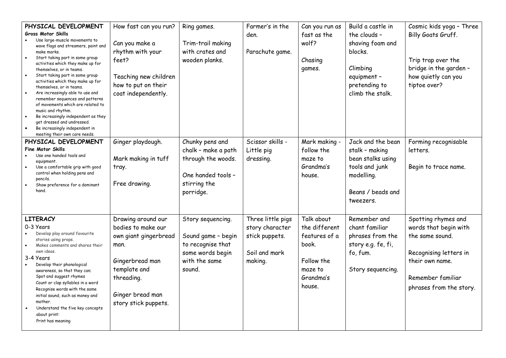| PHYSICAL DEVELOPMENT<br><b>Gross Motor Skills</b><br>Use large-muscle movements to<br>wave flags and streamers, paint and<br>make marks.<br>Start taking part in some group<br>activities which they make up for<br>themselves, or in teams.<br>Start taking part in some group<br>$\bullet$<br>activities which they make up for<br>themselves, or in teams.<br>Are increasingly able to use and<br>$\bullet$<br>remember sequences and patterns<br>of movements which are related to<br>music and rhythm.<br>Be increasingly independent as they<br>get dressed and undressed.<br>Be increasingly independent in<br>meeting their own care needs. | How fast can you run?<br>Can you make a<br>rhythm with your<br>feet?<br>Teaching new children<br>how to put on their<br>coat independently.                            | Ring games.<br>Trim-trail making<br>with crates and<br>wooden planks.                                           | Farmer's in the<br>den.<br>Parachute game.                                         | Can you run as<br>fast as the<br>wolf?<br>Chasing<br>games.                                           | Build a castle in<br>the clouds -<br>shaving foam and<br>blocks.<br>Climbing<br>equipment -<br>pretending to<br>climb the stalk. | Cosmic kids yoga - Three<br>Billy Goats Gruff.<br>Trip trap over the<br>bridge in the garden -<br>how quietly can you<br>tiptoe over?                        |
|-----------------------------------------------------------------------------------------------------------------------------------------------------------------------------------------------------------------------------------------------------------------------------------------------------------------------------------------------------------------------------------------------------------------------------------------------------------------------------------------------------------------------------------------------------------------------------------------------------------------------------------------------------|------------------------------------------------------------------------------------------------------------------------------------------------------------------------|-----------------------------------------------------------------------------------------------------------------|------------------------------------------------------------------------------------|-------------------------------------------------------------------------------------------------------|----------------------------------------------------------------------------------------------------------------------------------|--------------------------------------------------------------------------------------------------------------------------------------------------------------|
| PHYSICAL DEVELOPMENT<br><b>Fine Motor Skills</b><br>Use one handed tools and<br>equipment.<br>Use a comfortable grip with good<br>control when holding pens and<br>pencils.<br>Show preference for a dominant<br>hand.                                                                                                                                                                                                                                                                                                                                                                                                                              | Ginger playdough.<br>Mark making in tuff<br>tray.<br>Free drawing.                                                                                                     | Chunky pens and<br>chalk - make a path<br>through the woods.<br>One handed tools -<br>stirring the<br>porridge. | Scissor skills -<br>Little pig<br>dressing.                                        | Mark making -<br>follow the<br>maze to<br>Grandma's<br>house.                                         | Jack and the bean<br>stalk - making<br>bean stalks using<br>tools and junk<br>modelling.<br>Beans / beads and<br>tweezers.       | Forming recognisable<br>letters.<br>Begin to trace name.                                                                                                     |
| <b>LITERACY</b><br>0-3 Years<br>Develop play around favourite<br>stories using props.<br>Makes comments and shares their<br>own ideas.<br>3-4 Years<br>Develop their phonological<br>awareness, so that they can;<br>Spot and suggest rhymes<br>Count or clap syllables in a word<br>Recognise words with the same<br>initial sound, such as money and<br>mother.<br>Understand the five key concepts<br>about print:<br>Print has meaning                                                                                                                                                                                                          | Drawing around our<br>bodies to make our<br>own giant gingerbread<br>man.<br>Gingerbread man<br>template and<br>threading.<br>Ginger bread man<br>story stick puppets. | Story sequencing.<br>Sound game - begin<br>to recognise that<br>some words begin<br>with the same<br>sound.     | Three little pigs<br>story character<br>stick puppets.<br>Soil and mark<br>making. | Talk about<br>the different<br>features of a<br>book.<br>Follow the<br>maze to<br>Grandma's<br>house. | Remember and<br>chant familiar<br>phrases from the<br>story e.g. fe, fi,<br>fo, fum.<br>Story sequencing.                        | Spotting rhymes and<br>words that begin with<br>the same sound.<br>Recognising letters in<br>their own name.<br>Remember familiar<br>phrases from the story. |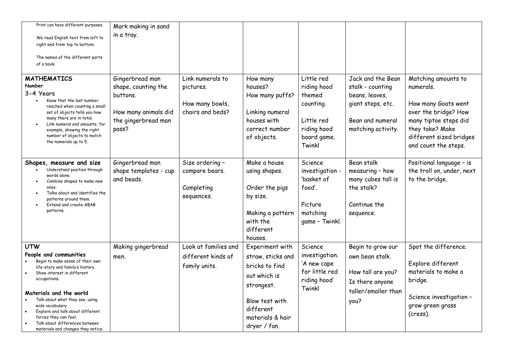| Print can have different purposes.                                   | Mark making in sand             |                      |                     |                       |                                    |                                             |
|----------------------------------------------------------------------|---------------------------------|----------------------|---------------------|-----------------------|------------------------------------|---------------------------------------------|
| We read English text from left to                                    | in a tray.                      |                      |                     |                       |                                    |                                             |
| right and from top to bottom.                                        |                                 |                      |                     |                       |                                    |                                             |
| The names of the different parts                                     |                                 |                      |                     |                       |                                    |                                             |
| of a book.                                                           |                                 |                      |                     |                       |                                    |                                             |
| <b>MATHEMATICS</b><br>Number                                         | Gingerbread man                 | Link numerals to     | How many<br>houses? | Little red            | Jack and the Bean                  | Matching amounts to                         |
| 3-4 Years                                                            | shape, counting the<br>buttons. | pictures.            | How many puffs?     | riding hood<br>themed | stalk - counting<br>beans, leaves, | numerals.                                   |
| Know that the last number                                            |                                 | How many bowls,      |                     | counting.             | giant steps, etc.                  | How many Goats went                         |
| reached when counting a small<br>set of objects tells you how        | How many animals did            | chairs and beds?     | Linking numeral     |                       |                                    | over the bridge? How                        |
| many there are in total.                                             | the gingerbread man             |                      | houses with         | Little red            | Bean and numeral                   | many tiptoe steps did                       |
| Link numeral and amounts; for<br>example, showing the right          | pass?                           |                      | correct number      | riding hood           | matching activity.                 | they take? Make                             |
| number of objects to match                                           |                                 |                      | of objects.         | board game.           |                                    | different sized bridges                     |
| the numerals up to 5.                                                |                                 |                      |                     | Twinkl                |                                    | and count the steps.                        |
|                                                                      |                                 |                      |                     |                       |                                    |                                             |
| Shapes, measure and size                                             | Gingerbread man                 | Size ordering -      | Make a house        | Science               | Bean stalk                         | Positional language - is                    |
| Understand position through<br>words alone.                          | shape templates - cup           | compare bears.       | using shapes.       | investigation -       | measuring - how                    | the troll on, under, next                   |
| Combine shapes to make new                                           | and beads.                      |                      |                     | 'basket of            | many cubes tall is                 | to the bridge.                              |
| ones<br>Talks about and identifies the                               |                                 | Completing           | Order the pigs      | food'.                | the stalk?                         |                                             |
| patterns around them.<br>Extend and create ABAB                      |                                 | sequences.           | by size.            | Picture               | Continue the                       |                                             |
| patterns.                                                            |                                 |                      | Making a pattern    | matching              | sequence.                          |                                             |
|                                                                      |                                 |                      | with the            | game - Twinkl.        |                                    |                                             |
|                                                                      |                                 |                      | different           |                       |                                    |                                             |
|                                                                      |                                 |                      | houses.             |                       |                                    |                                             |
| <b>UTW</b>                                                           | Making gingerbread              | Look at families and | Experiment with     | Science               | Begin to grow our                  | Spot the difference.                        |
| People and communities                                               | men.                            | different kinds of   | straw, sticks and   | investigation.        | own bean stalk.                    |                                             |
| Begin to make sense of their own<br>life-story and family's history. |                                 | family units.        | bricks to find      | 'A new cape           |                                    | Explore different                           |
| Show interest in different                                           |                                 |                      | out which is        | for little red        | How tall are you?                  | materials to make a                         |
| occupations.                                                         |                                 |                      | strongest.          | riding hood'          | Is there anyone                    | bridge.                                     |
| Materials and the world                                              |                                 |                      |                     | Twinkl                | taller/smaller than                |                                             |
| Talk about what they see, using                                      |                                 |                      | Blow test with      |                       | you?                               | Science investigation -<br>grow green grass |
| wide vocabulary.<br>Explore and talk about different                 |                                 |                      | different           |                       |                                    | (cress).                                    |
| forces they can feel.                                                |                                 |                      | materials & hair    |                       |                                    |                                             |
| Talk about differences between<br>materials and changes they notice. |                                 |                      | dryer / fan.        |                       |                                    |                                             |